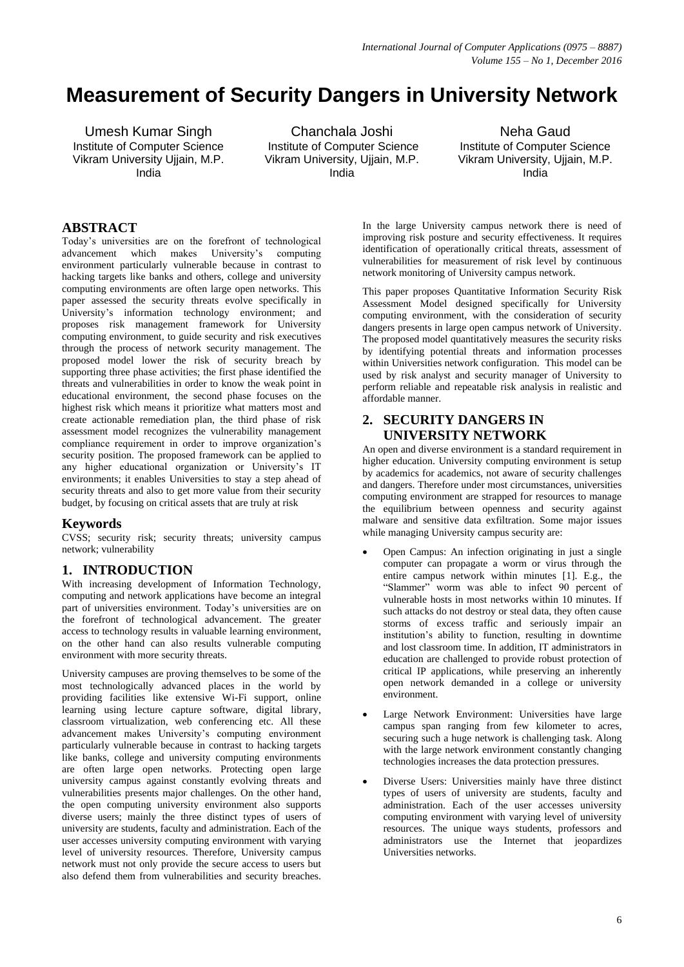# **Measurement of Security Dangers in University Network**

Umesh Kumar Singh Institute of Computer Science Vikram University Ujjain, M.P. India

Chanchala Joshi Institute of Computer Science Vikram University, Ujjain, M.P. India

Neha Gaud Institute of Computer Science Vikram University, Ujjain, M.P. India

## **ABSTRACT**

Today's universities are on the forefront of technological advancement which makes University's computing environment particularly vulnerable because in contrast to hacking targets like banks and others, college and university computing environments are often large open networks. This paper assessed the security threats evolve specifically in University's information technology environment; and proposes risk management framework for University computing environment, to guide security and risk executives through the process of network security management. The proposed model lower the risk of security breach by supporting three phase activities; the first phase identified the threats and vulnerabilities in order to know the weak point in educational environment, the second phase focuses on the highest risk which means it prioritize what matters most and create actionable remediation plan, the third phase of risk assessment model recognizes the vulnerability management compliance requirement in order to improve organization's security position. The proposed framework can be applied to any higher educational organization or University's IT environments; it enables Universities to stay a step ahead of security threats and also to get more value from their security budget, by focusing on critical assets that are truly at risk

#### **Keywords**

CVSS; security risk; security threats; university campus network; vulnerability

# **1. INTRODUCTION**

With increasing development of Information Technology, computing and network applications have become an integral part of universities environment. Today's universities are on the forefront of technological advancement. The greater access to technology results in valuable learning environment, on the other hand can also results vulnerable computing environment with more security threats.

University campuses are proving themselves to be some of the most technologically advanced places in the world by providing facilities like extensive Wi-Fi support, online learning using lecture capture software, digital library, classroom virtualization, web conferencing etc. All these advancement makes University's computing environment particularly vulnerable because in contrast to hacking targets like banks, college and university computing environments are often large open networks. Protecting open large university campus against constantly evolving threats and vulnerabilities presents major challenges. On the other hand, the open computing university environment also supports diverse users; mainly the three distinct types of users of university are students, faculty and administration. Each of the user accesses university computing environment with varying level of university resources. Therefore, University campus network must not only provide the secure access to users but also defend them from vulnerabilities and security breaches.

In the large University campus network there is need of improving risk posture and security effectiveness. It requires identification of operationally critical threats, assessment of vulnerabilities for measurement of risk level by continuous network monitoring of University campus network.

This paper proposes Quantitative Information Security Risk Assessment Model designed specifically for University computing environment, with the consideration of security dangers presents in large open campus network of University. The proposed model quantitatively measures the security risks by identifying potential threats and information processes within Universities network configuration. This model can be used by risk analyst and security manager of University to perform reliable and repeatable risk analysis in realistic and affordable manner.

## **2. SECURITY DANGERS IN UNIVERSITY NETWORK**

An open and diverse environment is a standard requirement in higher education. University computing environment is setup by academics for academics, not aware of security challenges and dangers. Therefore under most circumstances, universities computing environment are strapped for resources to manage the equilibrium between openness and security against malware and sensitive data exfiltration. Some major issues while managing University campus security are:

- Open Campus: An infection originating in just a single computer can propagate a worm or virus through the entire campus network within minutes [1]. E.g., the "Slammer" worm was able to infect 90 percent of vulnerable hosts in most networks within 10 minutes. If such attacks do not destroy or steal data, they often cause storms of excess traffic and seriously impair an institution's ability to function, resulting in downtime and lost classroom time. In addition, IT administrators in education are challenged to provide robust protection of critical IP applications, while preserving an inherently open network demanded in a college or university environment.
- Large Network Environment: Universities have large campus span ranging from few kilometer to acres, securing such a huge network is challenging task. Along with the large network environment constantly changing technologies increases the data protection pressures.
- Diverse Users: Universities mainly have three distinct types of users of university are students, faculty and administration. Each of the user accesses university computing environment with varying level of university resources. The unique ways students, professors and administrators use the Internet that jeopardizes Universities networks.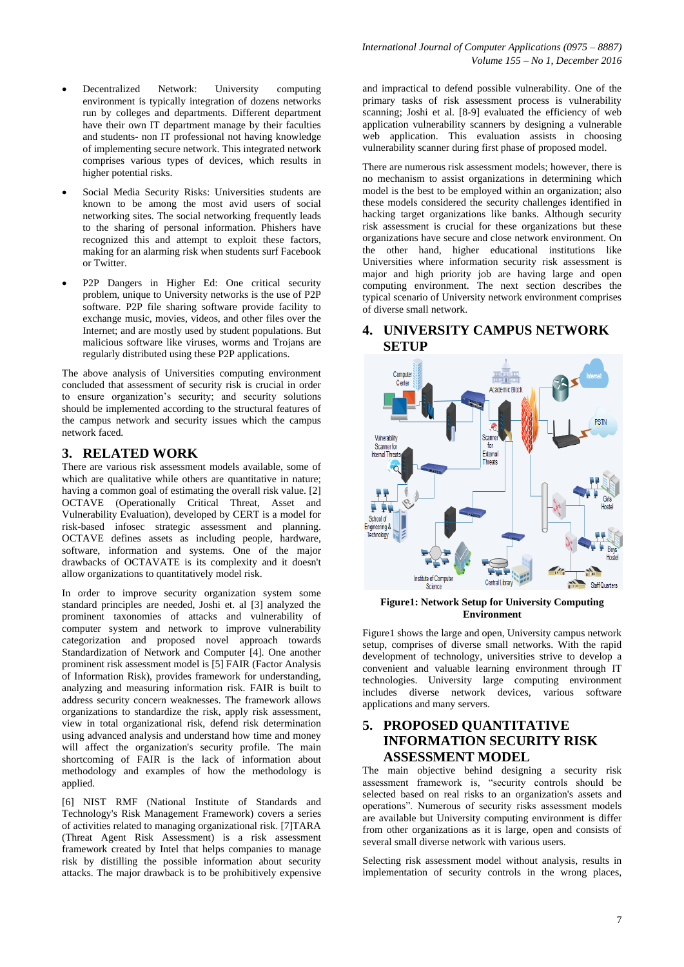- Social Media Security Risks: Universities students are known to be among the most avid users of social networking sites. The social networking frequently leads to the sharing of personal information. Phishers have recognized this and attempt to exploit these factors, making for an alarming risk when students surf Facebook or Twitter.
- P2P Dangers in Higher Ed: One critical security problem, unique to University networks is the use of P2P software. P2P file sharing software provide facility to exchange music, movies, videos, and other files over the Internet; and are mostly used by student populations. But malicious software like viruses, worms and Trojans are regularly distributed using these P2P applications.

The above analysis of Universities computing environment concluded that assessment of security risk is crucial in order to ensure organization's security; and security solutions should be implemented according to the structural features of the campus network and security issues which the campus network faced.

## **3. RELATED WORK**

There are various risk assessment models available, some of which are qualitative while others are quantitative in nature; having a common goal of estimating the overall risk value. [2] OCTAVE (Operationally Critical Threat, Asset and Vulnerability Evaluation), developed by CERT is a model for risk-based infosec strategic assessment and planning. OCTAVE defines assets as including people, hardware, software, information and systems. One of the major drawbacks of OCTAVATE is its complexity and it doesn't allow organizations to quantitatively model risk.

In order to improve security organization system some standard principles are needed, Joshi et. al [3] analyzed the prominent taxonomies of attacks and vulnerability of computer system and network to improve vulnerability categorization and proposed novel approach towards Standardization of Network and Computer [4]. One another prominent risk assessment model is [5] FAIR (Factor Analysis of Information Risk), provides framework for understanding, analyzing and measuring information risk. FAIR is built to address security concern weaknesses. The framework allows organizations to standardize the risk, apply risk assessment, view in total organizational risk, defend risk determination using advanced analysis and understand how time and money will affect the organization's security profile. The main shortcoming of FAIR is the lack of information about methodology and examples of how the methodology is applied.

[6] NIST RMF (National Institute of Standards and Technology's Risk Management Framework) covers a series of activities related to managing organizational risk. [7]TARA (Threat Agent Risk Assessment) is a risk assessment framework created by Intel that helps companies to manage risk by distilling the possible information about security attacks. The major drawback is to be prohibitively expensive

and impractical to defend possible vulnerability. One of the primary tasks of risk assessment process is vulnerability scanning; Joshi et al. [8-9] evaluated the efficiency of web application vulnerability scanners by designing a vulnerable web application. This evaluation assists in choosing vulnerability scanner during first phase of proposed model.

There are numerous risk assessment models; however, there is no mechanism to assist organizations in determining which model is the best to be employed within an organization; also these models considered the security challenges identified in hacking target organizations like banks. Although security risk assessment is crucial for these organizations but these organizations have secure and close network environment. On the other hand, higher educational institutions like Universities where information security risk assessment is major and high priority job are having large and open computing environment. The next section describes the typical scenario of University network environment comprises of diverse small network.

# **4. UNIVERSITY CAMPUS NETWORK SETUP**



#### **Figure1: Network Setup for University Computing Environment**

Figure1 shows the large and open, University campus network setup, comprises of diverse small networks. With the rapid development of technology, universities strive to develop a convenient and valuable learning environment through IT technologies. University large computing environment includes diverse network devices, various software applications and many servers.

# **5. PROPOSED QUANTITATIVE INFORMATION SECURITY RISK ASSESSMENT MODEL**

The main objective behind designing a security risk assessment framework is, "security controls should be selected based on real risks to an organization's assets and operations". Numerous of security risks assessment models are available but University computing environment is differ from other organizations as it is large, open and consists of several small diverse network with various users.

Selecting risk assessment model without analysis, results in implementation of security controls in the wrong places,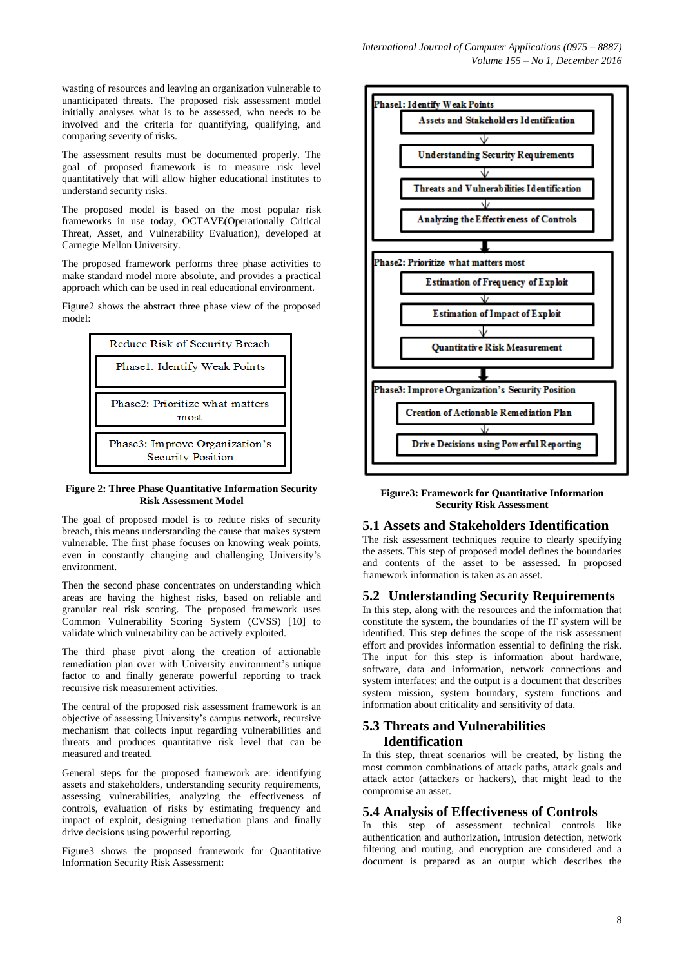wasting of resources and leaving an organization vulnerable to unanticipated threats. The proposed risk assessment model initially analyses what is to be assessed, who needs to be involved and the criteria for quantifying, qualifying, and comparing severity of risks.

The assessment results must be documented properly. The goal of proposed framework is to measure risk level quantitatively that will allow higher educational institutes to understand security risks.

The proposed model is based on the most popular risk frameworks in use today, [OCTAVE\(](http://www.cert.org/octave/methodintro.html)Operationally Critical Threat, Asset, and Vulnerability Evaluation), developed at Carnegie Mellon University.

The proposed framework performs three phase activities to make standard model more absolute, and provides a practical approach which can be used in real educational environment.

Figure2 shows the abstract three phase view of the proposed model:



#### **Figure 2: Three Phase Quantitative Information Security Risk Assessment Model**

The goal of proposed model is to reduce risks of security breach, this means understanding the cause that makes system vulnerable. The first phase focuses on knowing weak points, even in constantly changing and challenging University's environment.

Then the second phase concentrates on understanding which areas are having the highest risks, based on reliable and granular real risk scoring. The proposed framework uses Common Vulnerability Scoring System (CVSS) [10] to validate which vulnerability can be actively exploited.

The third phase pivot along the creation of actionable remediation plan over with University environment's unique factor to and finally generate powerful reporting to track recursive risk measurement activities.

The central of the proposed risk assessment framework is an objective of assessing University's campus network, recursive mechanism that collects input regarding vulnerabilities and threats and produces quantitative risk level that can be measured and treated.

General steps for the proposed framework are: identifying assets and stakeholders, understanding security requirements, assessing vulnerabilities, analyzing the effectiveness of controls, evaluation of risks by estimating frequency and impact of exploit, designing remediation plans and finally drive decisions using powerful reporting.

Figure3 shows the proposed framework for Quantitative Information Security Risk Assessment:



**Figure3: Framework for Quantitative Information Security Risk Assessment**

#### **5.1 Assets and Stakeholders Identification**

The risk assessment techniques require to clearly specifying the assets. This step of proposed model defines the boundaries and contents of the asset to be assessed. In proposed framework information is taken as an asset.

### **5.2 Understanding Security Requirements**

In this step, along with the resources and the information that constitute the system, the boundaries of the IT system will be identified. This step defines the scope of the risk assessment effort and provides information essential to defining the risk. The input for this step is information about hardware, software, data and information, network connections and system interfaces; and the output is a document that describes system mission, system boundary, system functions and information about criticality and sensitivity of data.

# **5.3 Threats and Vulnerabilities Identification**

In this step, threat scenarios will be created, by listing the most common combinations of attack paths, attack goals and attack actor (attackers or hackers), that might lead to the compromise an asset.

#### **5.4 Analysis of Effectiveness of Controls**

In this step of assessment technical controls like authentication and authorization, intrusion detection, network filtering and routing, and encryption are considered and a document is prepared as an output which describes the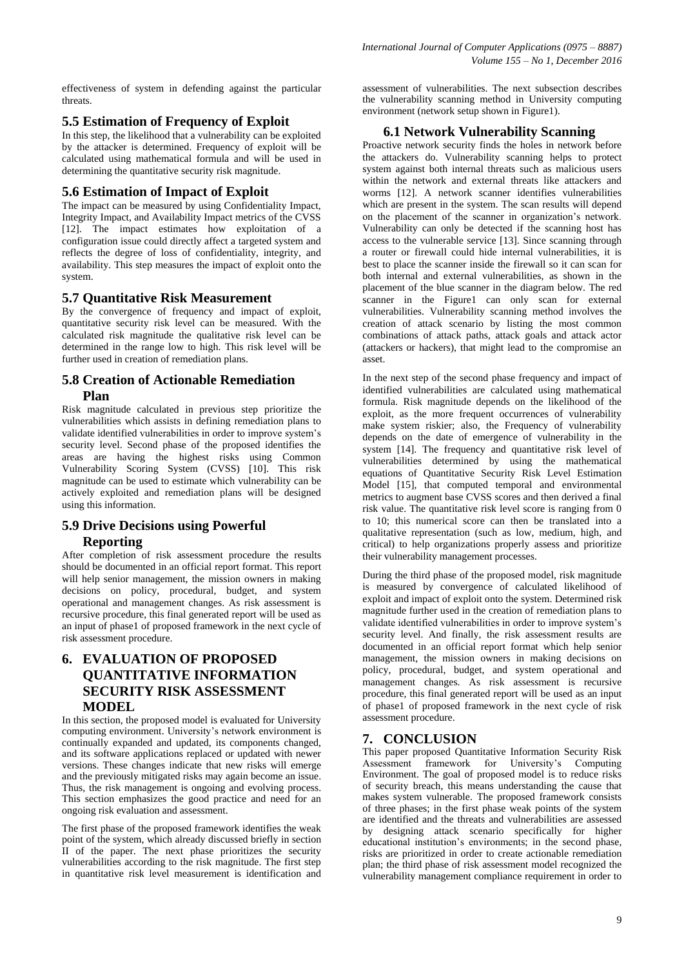effectiveness of system in defending against the particular threats.

## **5.5 Estimation of Frequency of Exploit**

In this step, the likelihood that a vulnerability can be exploited by the attacker is determined. Frequency of exploit will be calculated using mathematical formula and will be used in determining the quantitative security risk magnitude.

## **5.6 Estimation of Impact of Exploit**

The impact can be measured by using Confidentiality Impact, Integrity Impact, and Availability Impact metrics of the CVSS [12]. The impact estimates how exploitation of a configuration issue could directly affect a targeted system and reflects the degree of loss of confidentiality, integrity, and availability. This step measures the impact of exploit onto the system.

## **5.7 Quantitative Risk Measurement**

By the convergence of frequency and impact of exploit, quantitative security risk level can be measured. With the calculated risk magnitude the qualitative risk level can be determined in the range low to high. This risk level will be further used in creation of remediation plans.

## **5.8 Creation of Actionable Remediation Plan**

Risk magnitude calculated in previous step prioritize the vulnerabilities which assists in defining remediation plans to validate identified vulnerabilities in order to improve system's security level. Second phase of the proposed identifies the areas are having the highest risks using Common Vulnerability Scoring System (CVSS) [10]. This risk magnitude can be used to estimate which vulnerability can be actively exploited and remediation plans will be designed using this information.

# **5.9 Drive Decisions using Powerful Reporting**

After completion of risk assessment procedure the results should be documented in an official report format. This report will help senior management, the mission owners in making decisions on policy, procedural, budget, and system operational and management changes. As risk assessment is recursive procedure, this final generated report will be used as an input of phase1 of proposed framework in the next cycle of risk assessment procedure.

# **6. EVALUATION OF PROPOSED QUANTITATIVE INFORMATION SECURITY RISK ASSESSMENT MODEL**

In this section, the proposed model is evaluated for University computing environment. University's network environment is continually expanded and updated, its components changed, and its software applications replaced or updated with newer versions. These changes indicate that new risks will emerge and the previously mitigated risks may again become an issue. Thus, the risk management is ongoing and evolving process. This section emphasizes the good practice and need for an ongoing risk evaluation and assessment.

The first phase of the proposed framework identifies the weak point of the system, which already discussed briefly in section II of the paper. The next phase prioritizes the security vulnerabilities according to the risk magnitude. The first step in quantitative risk level measurement is identification and

assessment of vulnerabilities. The next subsection describes the vulnerability scanning method in University computing environment (network setup shown in Figure1).

## **6.1 Network Vulnerability Scanning**

Proactive network security finds the holes in network before the attackers do. Vulnerability scanning helps to protect system against both internal threats such as malicious users within the network and external threats like attackers and worms [12]. A network scanner identifies vulnerabilities which are present in the system. The scan results will depend on the placement of the scanner in organization's network. Vulnerability can only be detected if the scanning host has access to the vulnerable service [13]. Since scanning through a router or firewall could hide internal vulnerabilities, it is best to place the scanner inside the firewall so it can scan for both internal and external vulnerabilities, as shown in the placement of the blue scanner in the diagram below. The red scanner in the Figure1 can only scan for external vulnerabilities. Vulnerability scanning method involves the creation of attack scenario by listing the most common combinations of attack paths, attack goals and attack actor (attackers or hackers), that might lead to the compromise an asset.

In the next step of the second phase frequency and impact of identified vulnerabilities are calculated using mathematical formula. Risk magnitude depends on the likelihood of the exploit, as the more frequent occurrences of vulnerability make system riskier; also, the Frequency of vulnerability depends on the date of emergence of vulnerability in the system [14]. The frequency and quantitative risk level of vulnerabilities determined by using the mathematical equations of Quantitative Security Risk Level Estimation Model [15], that computed temporal and environmental metrics to augment base CVSS scores and then derived a final risk value. The quantitative risk level score is ranging from 0 to 10; this numerical score can then be translated into a qualitative representation (such as low, medium, high, and critical) to help organizations properly assess and prioritize their vulnerability management processes.

During the third phase of the proposed model, risk magnitude is measured by convergence of calculated likelihood of exploit and impact of exploit onto the system. Determined risk magnitude further used in the creation of remediation plans to validate identified vulnerabilities in order to improve system's security level. And finally, the risk assessment results are documented in an official report format which help senior management, the mission owners in making decisions on policy, procedural, budget, and system operational and management changes. As risk assessment is recursive procedure, this final generated report will be used as an input of phase1 of proposed framework in the next cycle of risk assessment procedure.

## **7. CONCLUSION**

This paper proposed Quantitative Information Security Risk Assessment framework for University's Computing Environment. The goal of proposed model is to reduce risks of security breach, this means understanding the cause that makes system vulnerable. The proposed framework consists of three phases; in the first phase weak points of the system are identified and the threats and vulnerabilities are assessed by designing attack scenario specifically for higher educational institution's environments; in the second phase, risks are prioritized in order to create actionable remediation plan; the third phase of risk assessment model recognized the vulnerability management compliance requirement in order to